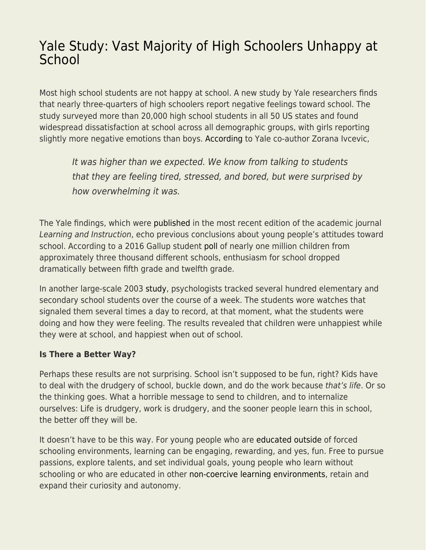## [Yale Study: Vast Majority of High Schoolers Unhappy at](https://everything-voluntary.com/yale-study-vast-majority-of-high-schoolers-unhappy-at-school) **[School](https://everything-voluntary.com/yale-study-vast-majority-of-high-schoolers-unhappy-at-school)**

Most high school students are not happy at school. A new study by Yale researchers finds that nearly three-quarters of high schoolers report negative feelings toward school. The study surveyed more than 20,000 high school students in all 50 US states and found widespread dissatisfaction at school across all demographic groups, with girls reporting slightly more negative emotions than boys. [According](https://news.yale.edu/2020/01/30/national-survey-students-feelings-about-high-school-are-mostly-negative) to Yale co-author Zorana Ivcevic,

It was higher than we expected. We know from talking to students that they are feeling tired, stressed, and bored, but were surprised by how overwhelming it was.

The Yale findings, which were [published](https://www.sciencedirect.com/science/article/abs/pii/S0959475218304444) in the most recent edition of the academic journal Learning and Instruction, echo previous conclusions about young people's attitudes toward school. According to a 2016 Gallup student [poll](https://news.gallup.com/opinion/gallup/211631/student-enthusiasm-falls-high-school-graduation-nears.aspx) of nearly one million children from approximately three thousand different schools, enthusiasm for school dropped dramatically between fifth grade and twelfth grade.

In another large-scale 2003 [study](https://link.springer.com/article/10.1023/A:1024409732742), psychologists tracked several hundred elementary and secondary school students over the course of a week. The students wore watches that signaled them several times a day to record, at that moment, what the students were doing and how they were feeling. The results revealed that children were unhappiest while they were at school, and happiest when out of school.

## **Is There a Better Way?**

Perhaps these results are not surprising. School isn't supposed to be fun, right? Kids have to deal with the drudgery of school, buckle down, and do the work because that's life. Or so the thinking goes. What a horrible message to send to children, and to internalize ourselves: Life is drudgery, work is drudgery, and the sooner people learn this in school, the better off they will be.

It doesn't have to be this way. For young people who are [educated outside](http://www.amazon.com/Unschooled-Well-Educated-Children-Conventional-Classroom/dp/1641600632/) of forced schooling environments, learning can be engaging, rewarding, and yes, fun. Free to pursue passions, explore talents, and set individual goals, young people who learn without schooling or who are educated in other [non-coercive learning environments,](https://www.self-directed.org/resources/communities) retain and expand their curiosity and autonomy.